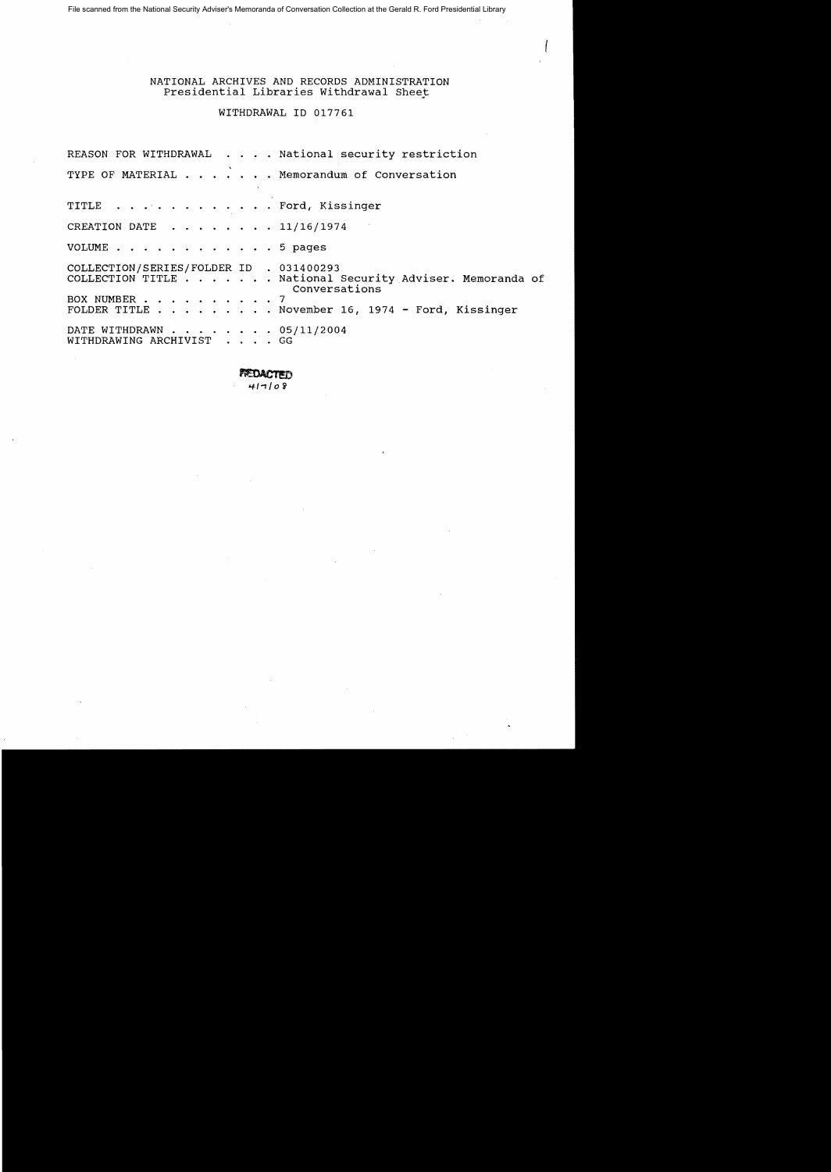File scanned from the National Security Adviser's Memoranda of Conversation Collection at the Gerald R. Ford Presidential Library

### NATIONAL ARCHIVES AND RECORDS ADMINISTRATION Presidential Libraries Withdrawal Sheet

## WITHDRAWAL 10 017761

REASON FOR WITHDRAWAL . . . . National security restriction TYPE OF MATERIAL . . . . . . Memorandum of Conversation TITLE . . . . . . . . . . . Ford, Kissinger CREATION DATE ..• 11/16/1974 VOLUME . . . . . . . . . . . . 5 pages COLLECTION/SERIES/FOLDER 10 . 031400293 COLLECTION/SERIES/FOLDER ID . 031400293<br>COLLECTION/SERIES/FOLDER ID . 031400293<br>COLLECTION TITLE . . . . . . . National Security Adviser. Memoranda of National Security Adviser. Memoranda of<br>Conversations BOX NUMBER . . . . . . . . . . 7<br>FOLDER TITLE . . . . . . . . N . November 16, 1974 - Ford, Kissinger DATE WITHDRAWN . . . . . . . 05/11/2004 WITHDRAWING ARCHIVIST . . GG

**FEDACTED** 

 $417108$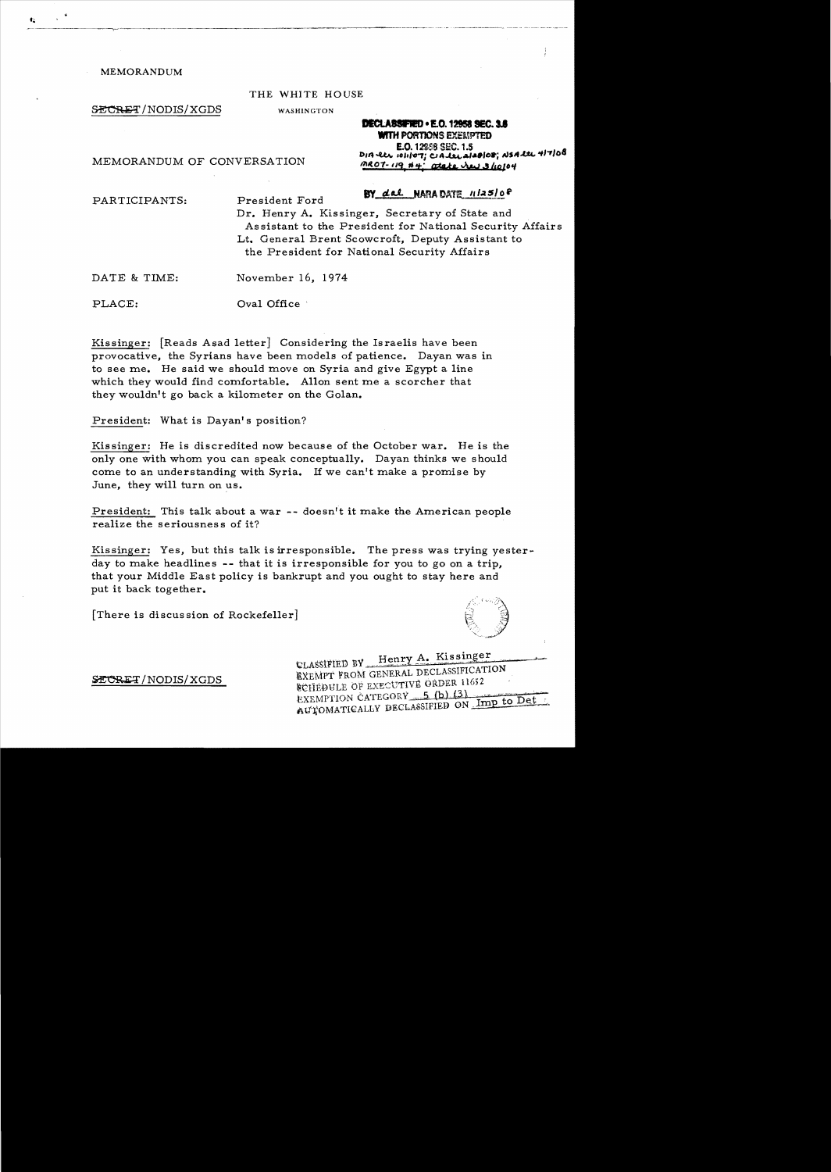#### MEMORANDUM

#### THE WHITE HOUSE

SECRET/NODIS/XGDS WASHINGTON

**DECLASSIFIED • E.O. 12958 SEC. 3.6** WITH PORTIONS EXEMPTED E.O. 12958 SEC. 1.5<br>**A** *a a**a**a**<b><i>a a a a a a a a a a a a a a a a a a a a a a a a a a a**<b><i>a* DIA ELL, TENDED TO.....<br>MEMORANDUM OF CONVERSATION MR07-119 #4: atake Jaw 3 lolo4  $M$ *07-119 #4' atake Ju 310104* 

# PARTICIPANTS: President Ford By dal NAMA DATE 1125/08

Dr. Henry A. Kissinger, Secretary of State and As sistant to the President for National Security Affairs Lt. General Brent Scowcroft, Deputy Assistant to the President for National Security Affairs

DATE & TIME: November 16, 1974

PLACE:  $Oval$  Office

Kissinger: [Reads Asad letter] Considering the Israelis have been provocative, the Syrians have been models of patience. Dayan was in to see me. He said we should move on Syria and give Egypt a line which they would find comfortable. Allon sent me a scorcher that they wouldn't go back a kilometer on the Golan.

President: What is Dayan's position?

Kissinger: He is discredited now because of the October war. He is the only one with whom you can speak conceptually. Dayan thinks we should come to an understanding with Syria. If we can't make a promise by June, they will turn on us.

President: This talk about a war  $-$ - doesn't it make the American people realize the seriousnes s of it?

Kissinger: Yes, but this talk is irresponsible. The press was trying yesterday to make headlines  $--$  that it is irresponsible for you to go on a trip, that your Middle East policy is bankrupt and you ought to stay here and put it back together.

[There is discussion of Rockefeller]



CLASSIFIED BY Henry A. Kissinger ELASSIFIED BY FIRE DECLASSIFICATION SCHEDULE OF EXECUTIVE ORDER 11652 EXEMPTION CATEGORY 5 (b) (3) EXEMPTION CATEGORY 5 (D) 13 Tmp to Det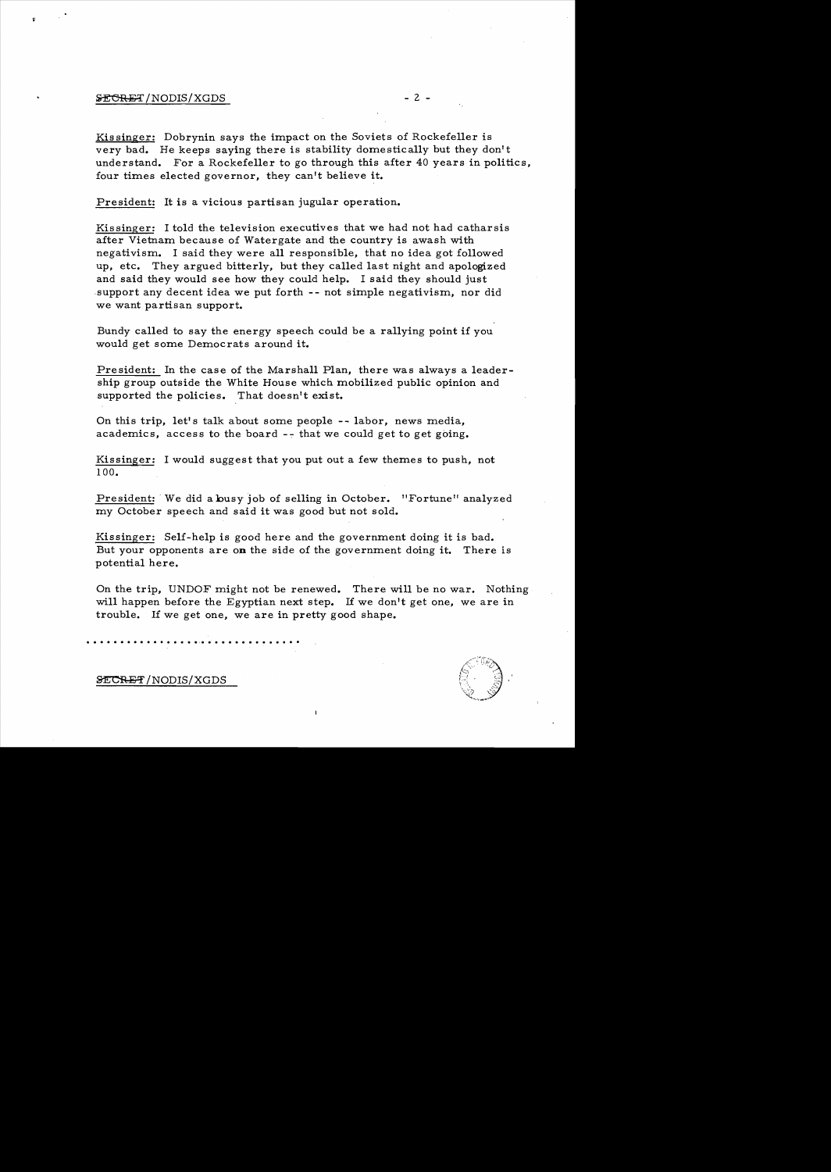# $\frac{1}{2}$  - 2 -  $\frac{1}{2}$

 $\mathbf{r}$ 

Kis singer: Dobrynin says the impact on the Soviets of Rockefeller is very bad. He keeps saying there is stability domestically but they don't understand. For a Rockefeller to go through this after 40 years in politics, four times elected governor, they can't believe it.

President: It is a vicious partisan jugular operation.

Kissinger: I told the television executives that we had not had catharsis after Vietnam because of Watergate and the country is awash with negativism. I said they were all responsible, that no idea got followed up, etc. They argued bitterly, but they called last night and apologized and said they would see how they could help. I said they should just support any decent idea we put forth -- not simple negativism, nor did we want partisan support.

Bundy called to say the energy speech could be a rallying point if you would get some Democrats around it.

President: In the case of the Marshall Plan, there was always a leadership group outside the White House which mobilized public opinion and supported the policies. That doesn't exist.

On this trip, let's talk about some people -- labor, news media, academics, access to the board  $-$ - that we could get to get going.

Kissinger: I would suggest that you put out a few themes to push, not 100.

President: We did a busy job of selling in October. "Fortune" analyzed my October speech and said it was good but not sold.

Kissinger: Self-help is good here and the government doing it is bad. But your opponents are on the side of the government doing it. There is potential here.

On the trip, UNDOF might not be renewed. There will be no war. Nothing will happen before the Egyptian next step. If we don't get one, we are in trouble. If we get one, we are in pretty good shape.

.. . . . . . . . . . . . . . .... . . . . .. . . . . . . . .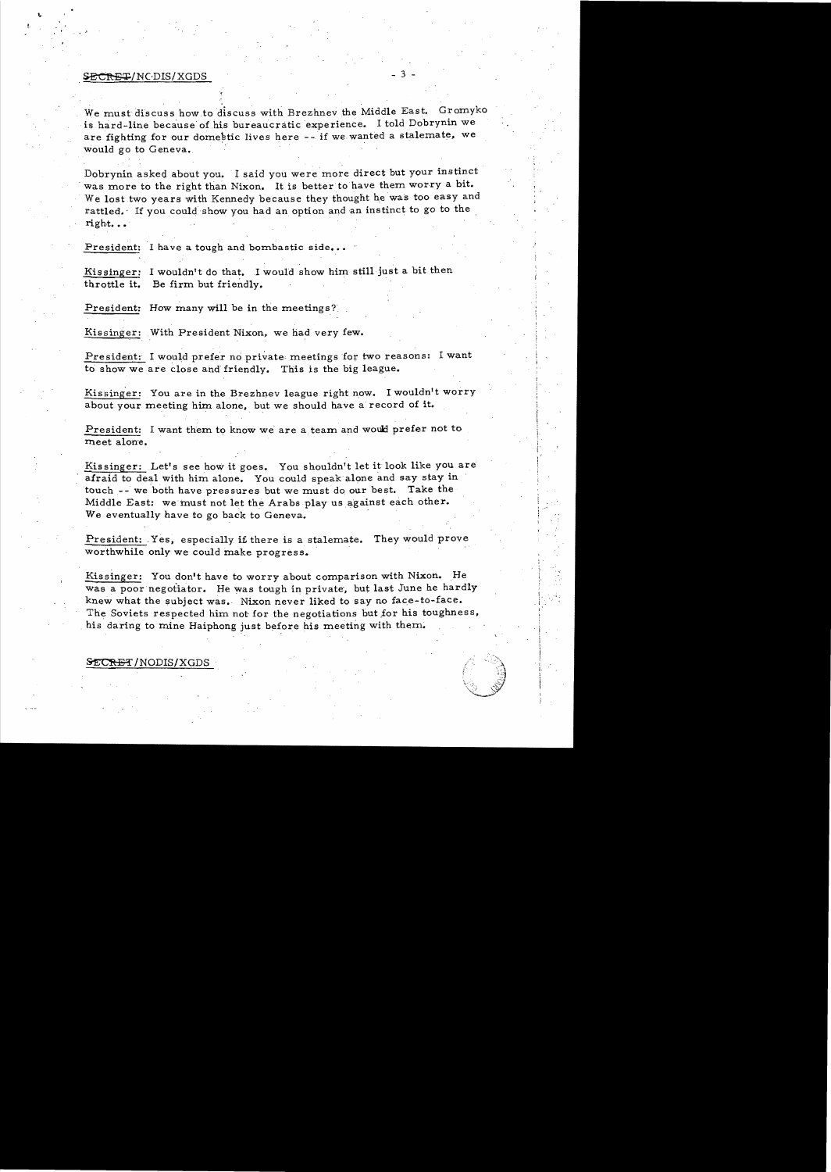## SECRET/NC·DIS/XGDS

..

We must discuss how to discuss with Brezhnev the Middle East. Gromyko is hard-line because of his bureaucratic experience. I told Dobrynin we are fighting for our domestic lives here -- if we wanted a stalemate, we would go to Geneva.

Dobrynin asked about you. I said you were more direct but your instinct was more to the right than Nixon. It is better to have them worry a bit. We lost two years with Kennedy because they thought he was too easy and rattled. If you could show you had an option and an instinct to go to the  $right...$ 

President: I have a tough and bombastic side...

Kissinger: I wouldn't do that. I would show him still just a bit then throttle it. Be firm but friendly.

President: How many will be in the meetings?

Kissinger: With President Nixon, we had very few.

President: I would prefer no private meetings for two reasons: I want to show we are close and friendly. This is the big league.

Kissinger: You are in the Brezhnev league right now. I wouldn't worry about your meeting him alone, but we should have a record of it.

President: I want them to know we' are a team and would prefer not to meet alone.

Kissinger: Let's see how it goes. You shouldn't let it look like you are afraid to deal with him alone. You could speak alone and say stay in touch -- we both have pressures but we must do our best. Take the Middle East: we must not let the Arabs play us against each other. We eventually have to go back to Geneva.

President: Yes, especially if there is a stalemate. They would prove worthwhile only we could make progress.

Kissinger: You don't have to worry about comparison with Nixon. He was a poor negotiator. He was tough in private, but last June he hardly knew what the subject was. Nixon never liked to say no face-to-face. The Soviets respected him not for the negotiations but for his toughness, his daring to mine Haiphong just before his meeting with them.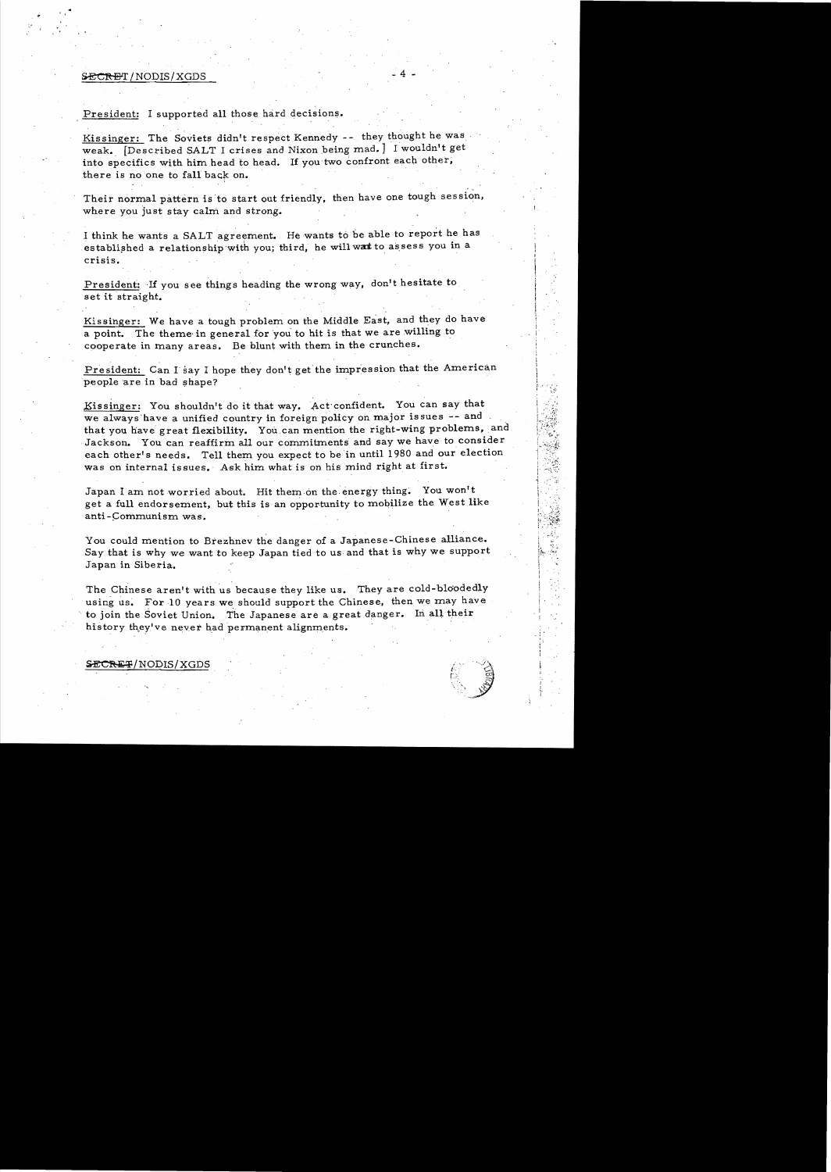#### **SECRET/NODIS/XGDS**

, ,

#### President: I supported all those hard decisions.

Kissinger: The Soviets didn't respect Kennedy -- they thought he was weak. [Described SALT I crises and Nixon being mad.] I wouldn't get into specifics with him head to head. If you two confront each other, there is no one to fall back on.

Their normal pattern is'to start out friendly, then have one tough session, where you just stay calm and strong.

I think he wants a SALT agreement. He wants to be able to report he has established a relationship with you; third, he will wat to assess you in a crisis.

President: If you see things heading the wrong way, don't hesitate to set it straight.

Kissinger: We have a tough problem on the Middle East, and they do have a point. The theme'in general for 'you to hit is that we are willing to cooperate in many areas. Be blunt with them in the crunches.

President: Can I say I hope they don't get the impression that the American people are in bad shape?

Eissinger: You shouldn't do it that way. Act'confident. You can say that we always have a unified country in foreign policy on major issues -- and that you have great flexibility. You can mention the right-wing problems, and Jackson. You can reaffirm all our commitments and say we have to consider each other's needs. Tell them you expect to be in until 1980 and our election was on internal issues. Ask him what is on his mind right at first.

Japan I am not worried about. Hit them on the energy thing. You won't get a full endorsement, but this is an opportunity to mobilize the West like anti-Communism was.

You could mention to Brezhnev the danger of a Japanese-Chinese alliance. Say that is why we want to keep Japan tied to us and that is why we support Japan in Siberia.

The Chinese aren't with us because they like us. They are cold-bloodedly using us. For 10 years we should support the Chinese, then we may have to join the Soviet Union. The Japanese are a great danger. In all their history they've never had permanent alignments.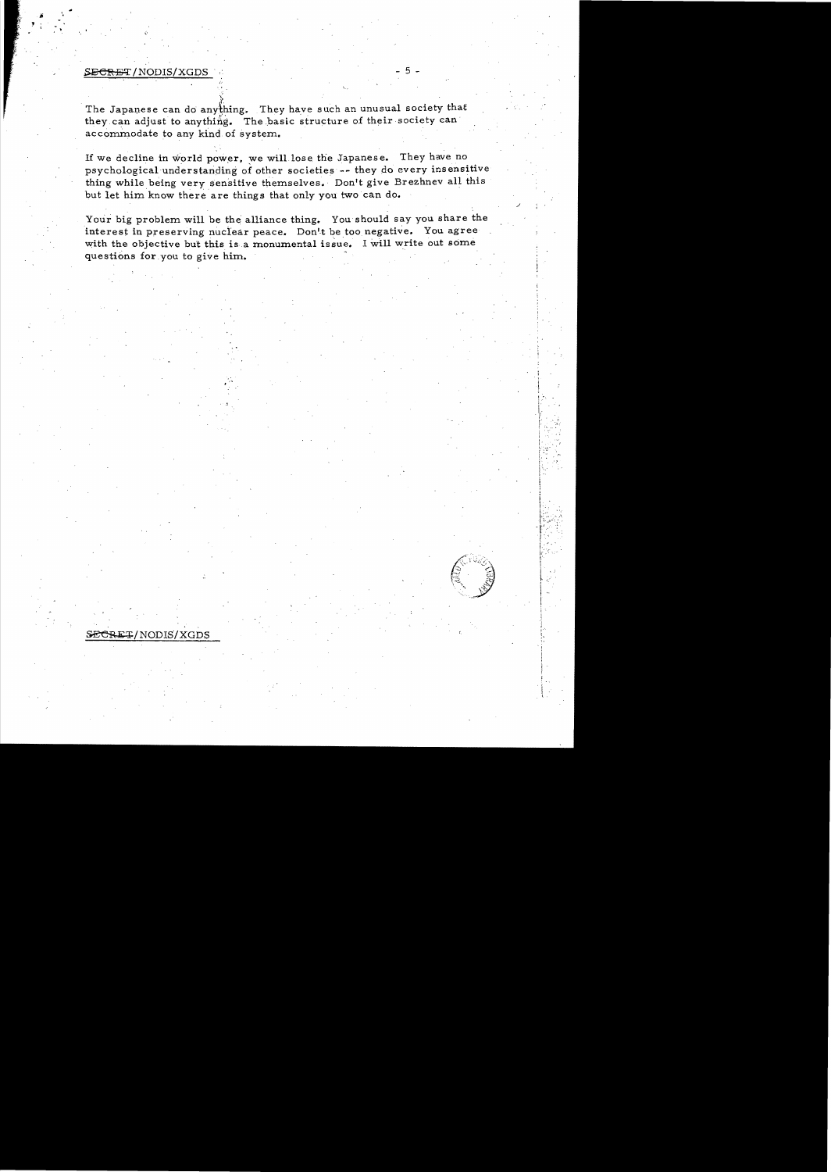# SECRET/NODIS/XGDS

j. 8<br>7. j

The Japanese can do anything. They have such an unusual society that they can adjust to anything. The basic structure of their society can' accommodate to any kind of system.

If we decline in world power, we will lose the Japanese. They have no psychological understanding of other societies -- they do every insensitive thing while being very sensitive themselves. Don't give Brezhnev all this but let him know there are things that only you two can do.

Your big problem will be the alliance thing. You should say you share the interest in preserving nuclear peace. Don't be too negative. You agree with the objective but this is a monumental issue. I will write out some questions for you to give him.

 $\cdot$  1